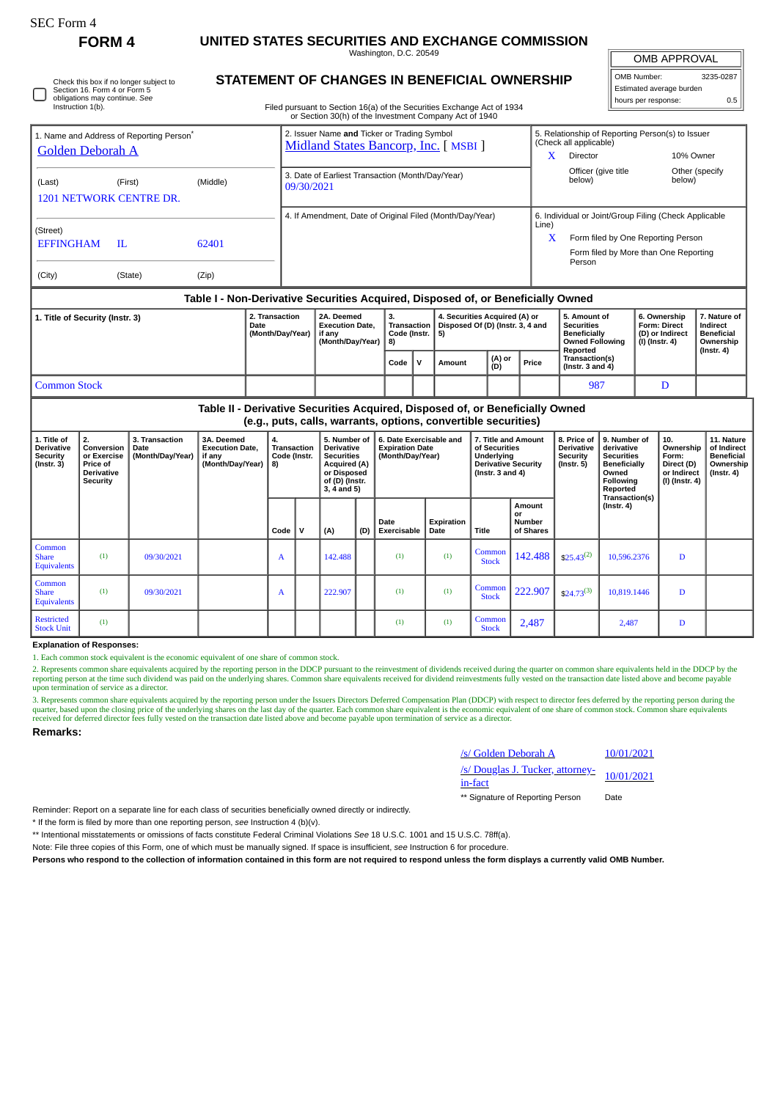| SEC Form |  |
|----------|--|
|----------|--|

Check this box if no longer subject to Section 16. Form 4 or Form 5 obligations may continue. *See* Instruction 1(b).

# **FORM 4 UNITED STATES SECURITIES AND EXCHANGE COMMISSION**

Washington, D.C. 20549 **STATEMENT OF CHANGES IN BENEFICIAL OWNERSHIP** OMB APPROVAL

| OMB Number:              | 3235-0287 |  |  |  |  |  |
|--------------------------|-----------|--|--|--|--|--|
| Estimated average burden |           |  |  |  |  |  |
| hours per response:      | 0.5       |  |  |  |  |  |

Filed pursuant to Section 16(a) of the Securities Exchange Act of 1934

|                                                                                  |               |                |                                            | or Section 30(h) of the Investment Company Act of 1940                               |              |                                               |        |                                                                   |       |                                                                                                                                                     |                                                                          |                                                            |  |  |
|----------------------------------------------------------------------------------|---------------|----------------|--------------------------------------------|--------------------------------------------------------------------------------------|--------------|-----------------------------------------------|--------|-------------------------------------------------------------------|-------|-----------------------------------------------------------------------------------------------------------------------------------------------------|--------------------------------------------------------------------------|------------------------------------------------------------|--|--|
| 1. Name and Address of Reporting Person <sup>®</sup><br>Golden Deborah A         |               |                |                                            | 2. Issuer Name and Ticker or Trading Symbol<br>Midland States Bancorp, Inc. [ MSBI ] |              |                                               |        |                                                                   |       | 5. Relationship of Reporting Person(s) to Issuer<br>(Check all applicable)                                                                          |                                                                          |                                                            |  |  |
| (Last)<br>1201 NETWORK CENTRE DR.                                                | (First)       | (Middle)       |                                            | 3. Date of Earliest Transaction (Month/Day/Year)<br>09/30/2021                       |              |                                               |        |                                                                   | X     | Director<br>Officer (give title<br>below)                                                                                                           | 10% Owner<br>below)                                                      | Other (specify                                             |  |  |
| (Street)<br><b>EFFINGHAM</b><br>(City)                                           | H.<br>(State) | 62401<br>(Zip) |                                            | 4. If Amendment, Date of Original Filed (Month/Day/Year)                             |              |                                               |        |                                                                   |       | 6. Individual or Joint/Group Filing (Check Applicable<br>X<br>Form filed by One Reporting Person<br>Form filed by More than One Reporting<br>Person |                                                                          |                                                            |  |  |
| Table I - Non-Derivative Securities Acquired, Disposed of, or Beneficially Owned |               |                |                                            |                                                                                      |              |                                               |        |                                                                   |       |                                                                                                                                                     |                                                                          |                                                            |  |  |
| 1. Title of Security (Instr. 3)                                                  |               |                | 2. Transaction<br>Date<br>(Month/Day/Year) | 2A. Deemed<br><b>Execution Date.</b><br>if anv<br>(Month/Day/Year)                   |              | 3.<br>Transaction<br>Code (Instr.<br>5)<br>8) |        | 4. Securities Acquired (A) or<br>Disposed Of (D) (Instr. 3, 4 and |       | 5. Amount of<br><b>Securities</b><br><b>Beneficially</b><br><b>Owned Following</b>                                                                  | 6. Ownership<br><b>Form: Direct</b><br>(D) or Indirect<br>(I) (Instr. 4) | 7. Nature of<br>Indirect<br><b>Beneficial</b><br>Ownership |  |  |
|                                                                                  |               |                |                                            |                                                                                      | $Code \vert$ | v                                             | Amount | (A) or<br>(D)                                                     | Price | Reported<br>Transaction(s)<br>(Instr. $3$ and $4$ )                                                                                                 |                                                                          | $($ Instr. 4 $)$                                           |  |  |

## Common Stock **Discrete Common Stock** Discrete Property and Discrete Property and Discrete Property and Discrete Property and Discrete Property and Discrete Property and Discrete Property and Discrete Property and Discrete

**Table II - Derivative Securities Acquired, Disposed of, or Beneficially Owned (e.g., puts, calls, warrants, options, convertible securities)**

| 1. Title of<br><b>Derivative</b><br>Security<br>$($ lnstr. 3 $)$ | 2.<br>Conversion<br>or Exercise<br><b>Price of</b><br><b>Derivative</b><br>Security | 3. Transaction<br>Date<br>(Month/Day/Year) | 3A. Deemed<br><b>Execution Date,</b><br>if any<br>(Month/Day/Year) | 4.<br><b>Transaction</b><br>Code (Instr.<br>8) |             | 5. Number of<br><b>Derivative</b><br><b>Securities</b><br><b>Acquired (A)</b><br>or Disposed<br>of (D) (Instr.<br>$3, 4$ and $5)$ |     | 6. Date Exercisable and<br>7. Title and Amount<br>of Securities<br><b>Expiration Date</b><br>Underlying<br>(Month/Day/Year)<br><b>Derivative Security</b><br>( $lnstr. 3 and 4$ ) |                    | 8. Price of<br><b>Derivative</b><br>Security<br>(Instr. 5) | 9. Number of<br>derivative<br><b>Securities</b><br><b>Beneficially</b><br>Owned<br><b>Following</b><br>Reported<br>Transaction(s) | 10.<br>Ownership<br>Form:<br>Direct (D)<br>or Indirect<br>(I) (Instr. 4) | 11. Nature<br>of Indirect<br><b>Beneficial</b><br>Ownership<br>(Instr. 4) |   |  |
|------------------------------------------------------------------|-------------------------------------------------------------------------------------|--------------------------------------------|--------------------------------------------------------------------|------------------------------------------------|-------------|-----------------------------------------------------------------------------------------------------------------------------------|-----|-----------------------------------------------------------------------------------------------------------------------------------------------------------------------------------|--------------------|------------------------------------------------------------|-----------------------------------------------------------------------------------------------------------------------------------|--------------------------------------------------------------------------|---------------------------------------------------------------------------|---|--|
|                                                                  |                                                                                     |                                            |                                                                    | Code                                           | $\mathbf v$ | (A)                                                                                                                               | (D) | Date<br>Exercisable                                                                                                                                                               | Expiration<br>Date | <b>Title</b>                                               | <b>Amount</b><br>or<br><b>Number</b><br>of Shares                                                                                 |                                                                          | $($ lnstr. 4 $)$                                                          |   |  |
| Common<br><b>Share</b><br><b>Equivalents</b>                     | (1)                                                                                 | 09/30/2021                                 |                                                                    | A                                              |             | 142.488                                                                                                                           |     | (1)                                                                                                                                                                               | (1)                | Common<br><b>Stock</b>                                     | 142.488                                                                                                                           | $$25.43^{(2)}$                                                           | 10,596.2376                                                               | D |  |
| Common<br><b>Share</b><br><b>Equivalents</b>                     | (1)                                                                                 | 09/30/2021                                 |                                                                    | A                                              |             | 222.907                                                                                                                           |     | (1)                                                                                                                                                                               | (1)                | Common<br><b>Stock</b>                                     | 222.907                                                                                                                           | $$24.73^{(3)}$                                                           | 10,819.1446                                                               | D |  |
| <b>Restricted</b><br><b>Stock Unit</b>                           | (1)                                                                                 |                                            |                                                                    |                                                |             |                                                                                                                                   |     | (1)                                                                                                                                                                               | (1)                | Common<br><b>Stock</b>                                     | 2,487                                                                                                                             |                                                                          | 2,487                                                                     | D |  |

#### **Explanation of Responses:**

1. Each common stock equivalent is the economic equivalent of one share of common stock.

2. Represents common share equivalents acquired by the reporting person in the DDCP pursuant to the reinvestment of dividends received during the quarter on common share equivalents held in the DDCP by the<br>reporting person upon termination of service as a director.

3. Represents common share equivalents acquired by the reporting person under the Issuers Directors Deferred Compensation Plan (DDCP) with respect to director fees deferred by the reporting person during the reporting pers

#### **Remarks:**

| /s/ Golden Deborah A                        | 10/01/2021 |
|---------------------------------------------|------------|
| /s/ Douglas J. Tucker, attorney-<br>in-fact | 10/01/2021 |
| ** Signature of Reporting Person            | Date       |

Reminder: Report on a separate line for each class of securities beneficially owned directly or indirectly.

\* If the form is filed by more than one reporting person, *see* Instruction 4 (b)(v).

\*\* Intentional misstatements or omissions of facts constitute Federal Criminal Violations *See* 18 U.S.C. 1001 and 15 U.S.C. 78ff(a).

Note: File three copies of this Form, one of which must be manually signed. If space is insufficient, *see* Instruction 6 for procedure.

**Persons who respond to the collection of information contained in this form are not required to respond unless the form displays a currently valid OMB Number.**